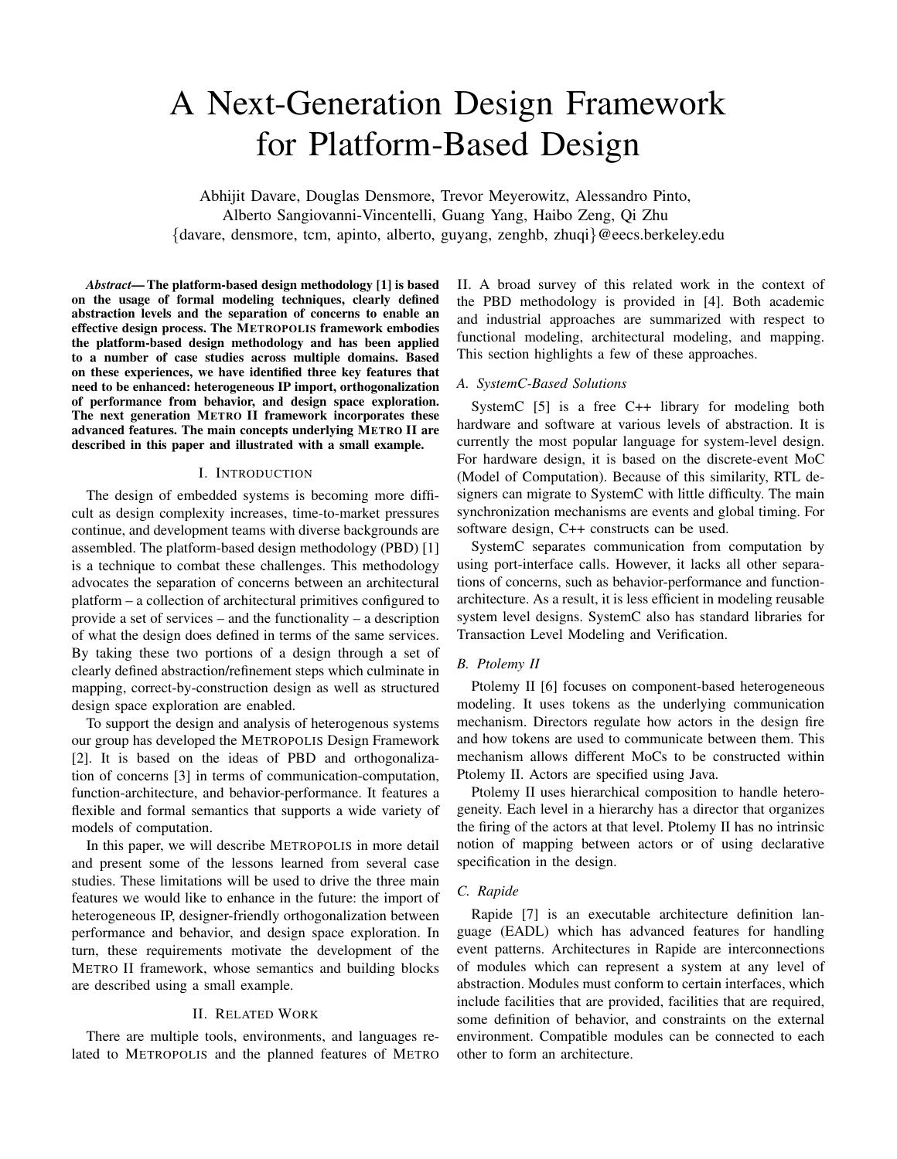# A Next-Generation Design Framework for Platform-Based Design

Abhijit Davare, Douglas Densmore, Trevor Meyerowitz, Alessandro Pinto, Alberto Sangiovanni-Vincentelli, Guang Yang, Haibo Zeng, Qi Zhu {davare, densmore, tcm, apinto, alberto, guyang, zenghb, zhuqi}@eecs.berkeley.edu

*Abstract*— The platform-based design methodology [1] is based on the usage of formal modeling techniques, clearly defined abstraction levels and the separation of concerns to enable an effective design process. The METROPOLIS framework embodies the platform-based design methodology and has been applied to a number of case studies across multiple domains. Based on these experiences, we have identified three key features that need to be enhanced: heterogeneous IP import, orthogonalization of performance from behavior, and design space exploration. The next generation METRO II framework incorporates these advanced features. The main concepts underlying METRO II are described in this paper and illustrated with a small example.

## I. INTRODUCTION

The design of embedded systems is becoming more difficult as design complexity increases, time-to-market pressures continue, and development teams with diverse backgrounds are assembled. The platform-based design methodology (PBD) [1] is a technique to combat these challenges. This methodology advocates the separation of concerns between an architectural platform – a collection of architectural primitives configured to provide a set of services – and the functionality – a description of what the design does defined in terms of the same services. By taking these two portions of a design through a set of clearly defined abstraction/refinement steps which culminate in mapping, correct-by-construction design as well as structured design space exploration are enabled.

To support the design and analysis of heterogenous systems our group has developed the METROPOLIS Design Framework [2]. It is based on the ideas of PBD and orthogonalization of concerns [3] in terms of communication-computation, function-architecture, and behavior-performance. It features a flexible and formal semantics that supports a wide variety of models of computation.

In this paper, we will describe METROPOLIS in more detail and present some of the lessons learned from several case studies. These limitations will be used to drive the three main features we would like to enhance in the future: the import of heterogeneous IP, designer-friendly orthogonalization between performance and behavior, and design space exploration. In turn, these requirements motivate the development of the METRO II framework, whose semantics and building blocks are described using a small example.

### II. RELATED WORK

There are multiple tools, environments, and languages related to METROPOLIS and the planned features of METRO II. A broad survey of this related work in the context of the PBD methodology is provided in [4]. Both academic and industrial approaches are summarized with respect to functional modeling, architectural modeling, and mapping. This section highlights a few of these approaches.

#### *A. SystemC-Based Solutions*

SystemC [5] is a free C++ library for modeling both hardware and software at various levels of abstraction. It is currently the most popular language for system-level design. For hardware design, it is based on the discrete-event MoC (Model of Computation). Because of this similarity, RTL designers can migrate to SystemC with little difficulty. The main synchronization mechanisms are events and global timing. For software design, C++ constructs can be used.

SystemC separates communication from computation by using port-interface calls. However, it lacks all other separations of concerns, such as behavior-performance and functionarchitecture. As a result, it is less efficient in modeling reusable system level designs. SystemC also has standard libraries for Transaction Level Modeling and Verification.

#### *B. Ptolemy II*

Ptolemy II [6] focuses on component-based heterogeneous modeling. It uses tokens as the underlying communication mechanism. Directors regulate how actors in the design fire and how tokens are used to communicate between them. This mechanism allows different MoCs to be constructed within Ptolemy II. Actors are specified using Java.

Ptolemy II uses hierarchical composition to handle heterogeneity. Each level in a hierarchy has a director that organizes the firing of the actors at that level. Ptolemy II has no intrinsic notion of mapping between actors or of using declarative specification in the design.

#### *C. Rapide*

Rapide [7] is an executable architecture definition language (EADL) which has advanced features for handling event patterns. Architectures in Rapide are interconnections of modules which can represent a system at any level of abstraction. Modules must conform to certain interfaces, which include facilities that are provided, facilities that are required, some definition of behavior, and constraints on the external environment. Compatible modules can be connected to each other to form an architecture.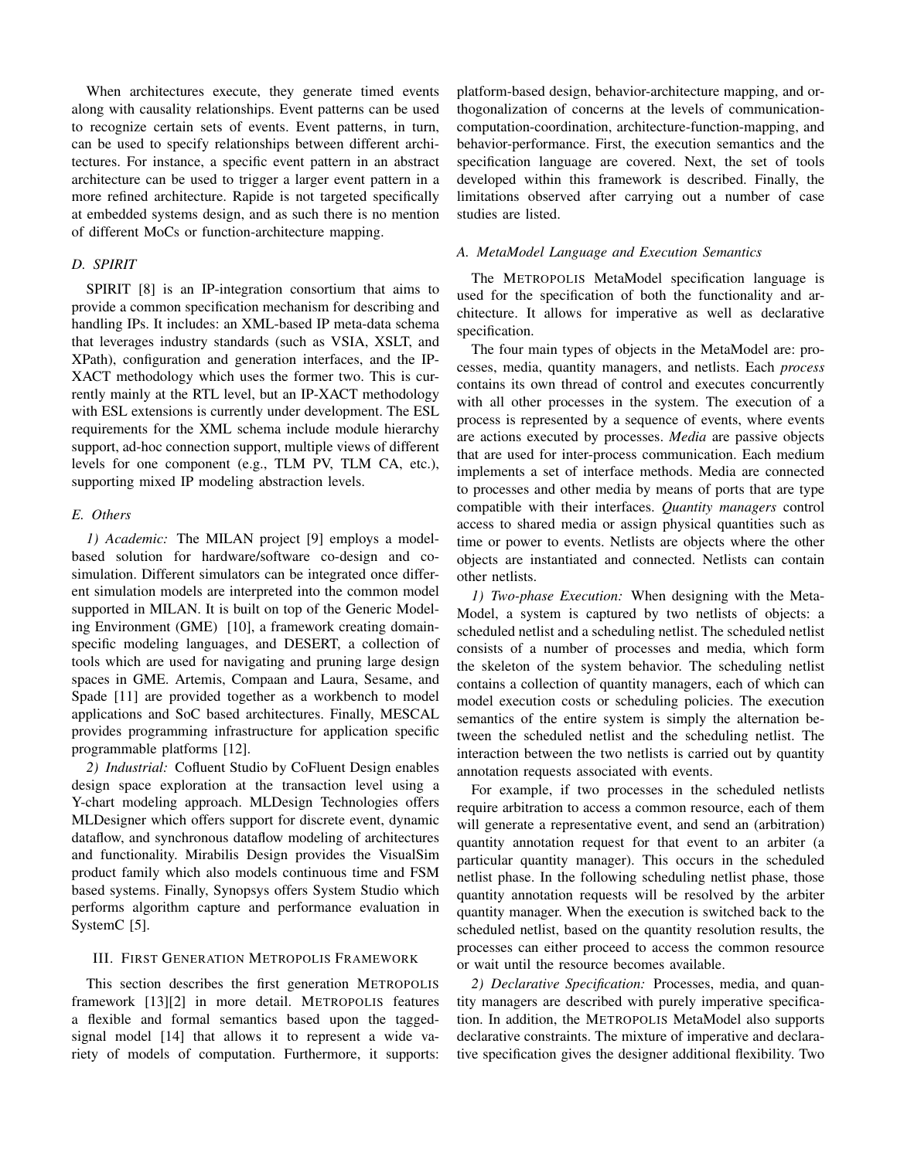When architectures execute, they generate timed events along with causality relationships. Event patterns can be used to recognize certain sets of events. Event patterns, in turn, can be used to specify relationships between different architectures. For instance, a specific event pattern in an abstract architecture can be used to trigger a larger event pattern in a more refined architecture. Rapide is not targeted specifically at embedded systems design, and as such there is no mention of different MoCs or function-architecture mapping.

### *D. SPIRIT*

SPIRIT [8] is an IP-integration consortium that aims to provide a common specification mechanism for describing and handling IPs. It includes: an XML-based IP meta-data schema that leverages industry standards (such as VSIA, XSLT, and XPath), configuration and generation interfaces, and the IP-XACT methodology which uses the former two. This is currently mainly at the RTL level, but an IP-XACT methodology with ESL extensions is currently under development. The ESL requirements for the XML schema include module hierarchy support, ad-hoc connection support, multiple views of different levels for one component (e.g., TLM PV, TLM CA, etc.), supporting mixed IP modeling abstraction levels.

#### *E. Others*

*1) Academic:* The MILAN project [9] employs a modelbased solution for hardware/software co-design and cosimulation. Different simulators can be integrated once different simulation models are interpreted into the common model supported in MILAN. It is built on top of the Generic Modeling Environment (GME) [10], a framework creating domainspecific modeling languages, and DESERT, a collection of tools which are used for navigating and pruning large design spaces in GME. Artemis, Compaan and Laura, Sesame, and Spade [11] are provided together as a workbench to model applications and SoC based architectures. Finally, MESCAL provides programming infrastructure for application specific programmable platforms [12].

*2) Industrial:* Cofluent Studio by CoFluent Design enables design space exploration at the transaction level using a Y-chart modeling approach. MLDesign Technologies offers MLDesigner which offers support for discrete event, dynamic dataflow, and synchronous dataflow modeling of architectures and functionality. Mirabilis Design provides the VisualSim product family which also models continuous time and FSM based systems. Finally, Synopsys offers System Studio which performs algorithm capture and performance evaluation in SystemC [5].

#### III. FIRST GENERATION METROPOLIS FRAMEWORK

This section describes the first generation METROPOLIS framework [13][2] in more detail. METROPOLIS features a flexible and formal semantics based upon the taggedsignal model [14] that allows it to represent a wide variety of models of computation. Furthermore, it supports:

platform-based design, behavior-architecture mapping, and orthogonalization of concerns at the levels of communicationcomputation-coordination, architecture-function-mapping, and behavior-performance. First, the execution semantics and the specification language are covered. Next, the set of tools developed within this framework is described. Finally, the limitations observed after carrying out a number of case studies are listed.

## *A. MetaModel Language and Execution Semantics*

The METROPOLIS MetaModel specification language is used for the specification of both the functionality and architecture. It allows for imperative as well as declarative specification.

The four main types of objects in the MetaModel are: processes, media, quantity managers, and netlists. Each *process* contains its own thread of control and executes concurrently with all other processes in the system. The execution of a process is represented by a sequence of events, where events are actions executed by processes. *Media* are passive objects that are used for inter-process communication. Each medium implements a set of interface methods. Media are connected to processes and other media by means of ports that are type compatible with their interfaces. *Quantity managers* control access to shared media or assign physical quantities such as time or power to events. Netlists are objects where the other objects are instantiated and connected. Netlists can contain other netlists.

*1) Two-phase Execution:* When designing with the Meta-Model, a system is captured by two netlists of objects: a scheduled netlist and a scheduling netlist. The scheduled netlist consists of a number of processes and media, which form the skeleton of the system behavior. The scheduling netlist contains a collection of quantity managers, each of which can model execution costs or scheduling policies. The execution semantics of the entire system is simply the alternation between the scheduled netlist and the scheduling netlist. The interaction between the two netlists is carried out by quantity annotation requests associated with events.

For example, if two processes in the scheduled netlists require arbitration to access a common resource, each of them will generate a representative event, and send an (arbitration) quantity annotation request for that event to an arbiter (a particular quantity manager). This occurs in the scheduled netlist phase. In the following scheduling netlist phase, those quantity annotation requests will be resolved by the arbiter quantity manager. When the execution is switched back to the scheduled netlist, based on the quantity resolution results, the processes can either proceed to access the common resource or wait until the resource becomes available.

*2) Declarative Specification:* Processes, media, and quantity managers are described with purely imperative specification. In addition, the METROPOLIS MetaModel also supports declarative constraints. The mixture of imperative and declarative specification gives the designer additional flexibility. Two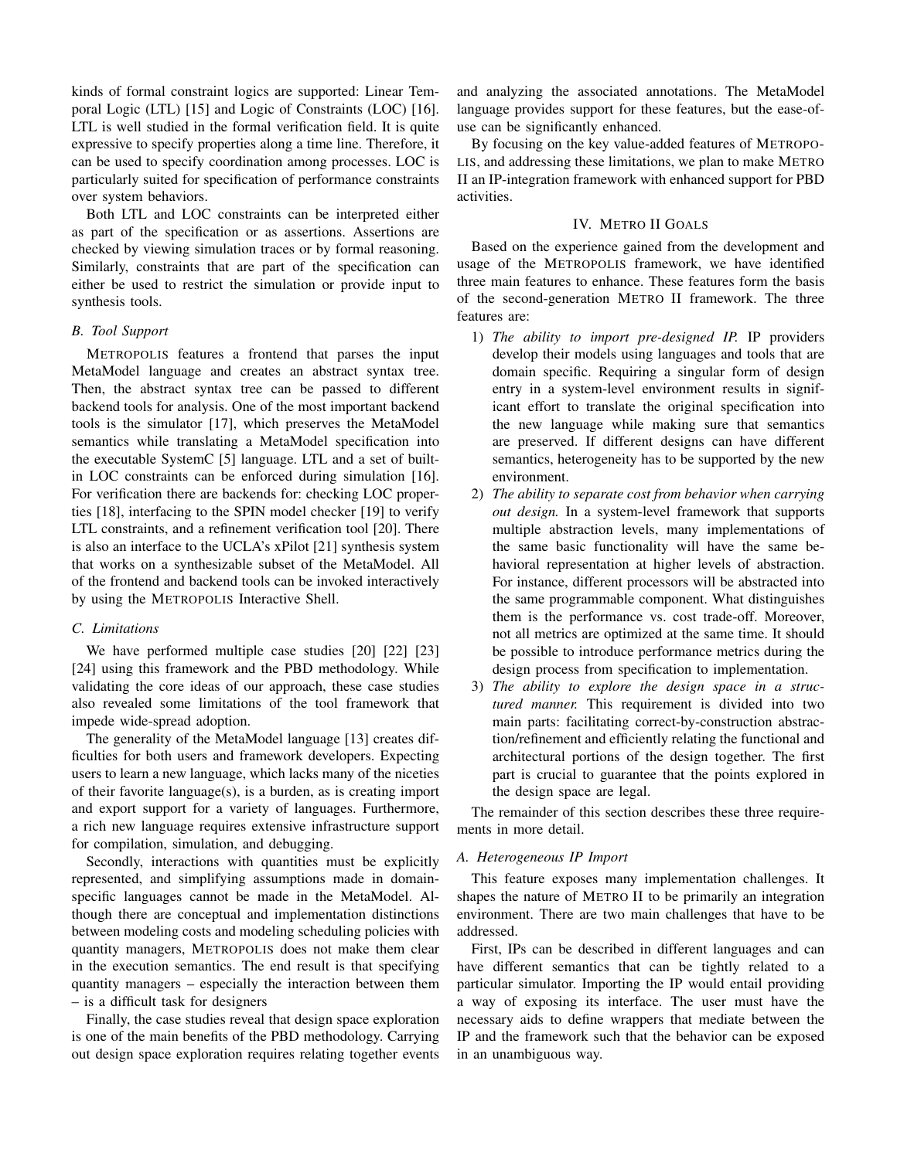kinds of formal constraint logics are supported: Linear Temporal Logic (LTL) [15] and Logic of Constraints (LOC) [16]. LTL is well studied in the formal verification field. It is quite expressive to specify properties along a time line. Therefore, it can be used to specify coordination among processes. LOC is particularly suited for specification of performance constraints over system behaviors.

Both LTL and LOC constraints can be interpreted either as part of the specification or as assertions. Assertions are checked by viewing simulation traces or by formal reasoning. Similarly, constraints that are part of the specification can either be used to restrict the simulation or provide input to synthesis tools.

## *B. Tool Support*

METROPOLIS features a frontend that parses the input MetaModel language and creates an abstract syntax tree. Then, the abstract syntax tree can be passed to different backend tools for analysis. One of the most important backend tools is the simulator [17], which preserves the MetaModel semantics while translating a MetaModel specification into the executable SystemC [5] language. LTL and a set of builtin LOC constraints can be enforced during simulation [16]. For verification there are backends for: checking LOC properties [18], interfacing to the SPIN model checker [19] to verify LTL constraints, and a refinement verification tool [20]. There is also an interface to the UCLA's xPilot [21] synthesis system that works on a synthesizable subset of the MetaModel. All of the frontend and backend tools can be invoked interactively by using the METROPOLIS Interactive Shell.

#### *C. Limitations*

We have performed multiple case studies [20] [22] [23] [24] using this framework and the PBD methodology. While validating the core ideas of our approach, these case studies also revealed some limitations of the tool framework that impede wide-spread adoption.

The generality of the MetaModel language [13] creates difficulties for both users and framework developers. Expecting users to learn a new language, which lacks many of the niceties of their favorite language(s), is a burden, as is creating import and export support for a variety of languages. Furthermore, a rich new language requires extensive infrastructure support for compilation, simulation, and debugging.

Secondly, interactions with quantities must be explicitly represented, and simplifying assumptions made in domainspecific languages cannot be made in the MetaModel. Although there are conceptual and implementation distinctions between modeling costs and modeling scheduling policies with quantity managers, METROPOLIS does not make them clear in the execution semantics. The end result is that specifying quantity managers – especially the interaction between them – is a difficult task for designers

Finally, the case studies reveal that design space exploration is one of the main benefits of the PBD methodology. Carrying out design space exploration requires relating together events and analyzing the associated annotations. The MetaModel language provides support for these features, but the ease-ofuse can be significantly enhanced.

By focusing on the key value-added features of METROPO-LIS, and addressing these limitations, we plan to make METRO II an IP-integration framework with enhanced support for PBD activities.

#### IV. METRO II GOALS

Based on the experience gained from the development and usage of the METROPOLIS framework, we have identified three main features to enhance. These features form the basis of the second-generation METRO II framework. The three features are:

- 1) *The ability to import pre-designed IP.* IP providers develop their models using languages and tools that are domain specific. Requiring a singular form of design entry in a system-level environment results in significant effort to translate the original specification into the new language while making sure that semantics are preserved. If different designs can have different semantics, heterogeneity has to be supported by the new environment.
- 2) *The ability to separate cost from behavior when carrying out design.* In a system-level framework that supports multiple abstraction levels, many implementations of the same basic functionality will have the same behavioral representation at higher levels of abstraction. For instance, different processors will be abstracted into the same programmable component. What distinguishes them is the performance vs. cost trade-off. Moreover, not all metrics are optimized at the same time. It should be possible to introduce performance metrics during the design process from specification to implementation.
- 3) *The ability to explore the design space in a structured manner.* This requirement is divided into two main parts: facilitating correct-by-construction abstraction/refinement and efficiently relating the functional and architectural portions of the design together. The first part is crucial to guarantee that the points explored in the design space are legal.

The remainder of this section describes these three requirements in more detail.

## *A. Heterogeneous IP Import*

This feature exposes many implementation challenges. It shapes the nature of METRO II to be primarily an integration environment. There are two main challenges that have to be addressed.

First, IPs can be described in different languages and can have different semantics that can be tightly related to a particular simulator. Importing the IP would entail providing a way of exposing its interface. The user must have the necessary aids to define wrappers that mediate between the IP and the framework such that the behavior can be exposed in an unambiguous way.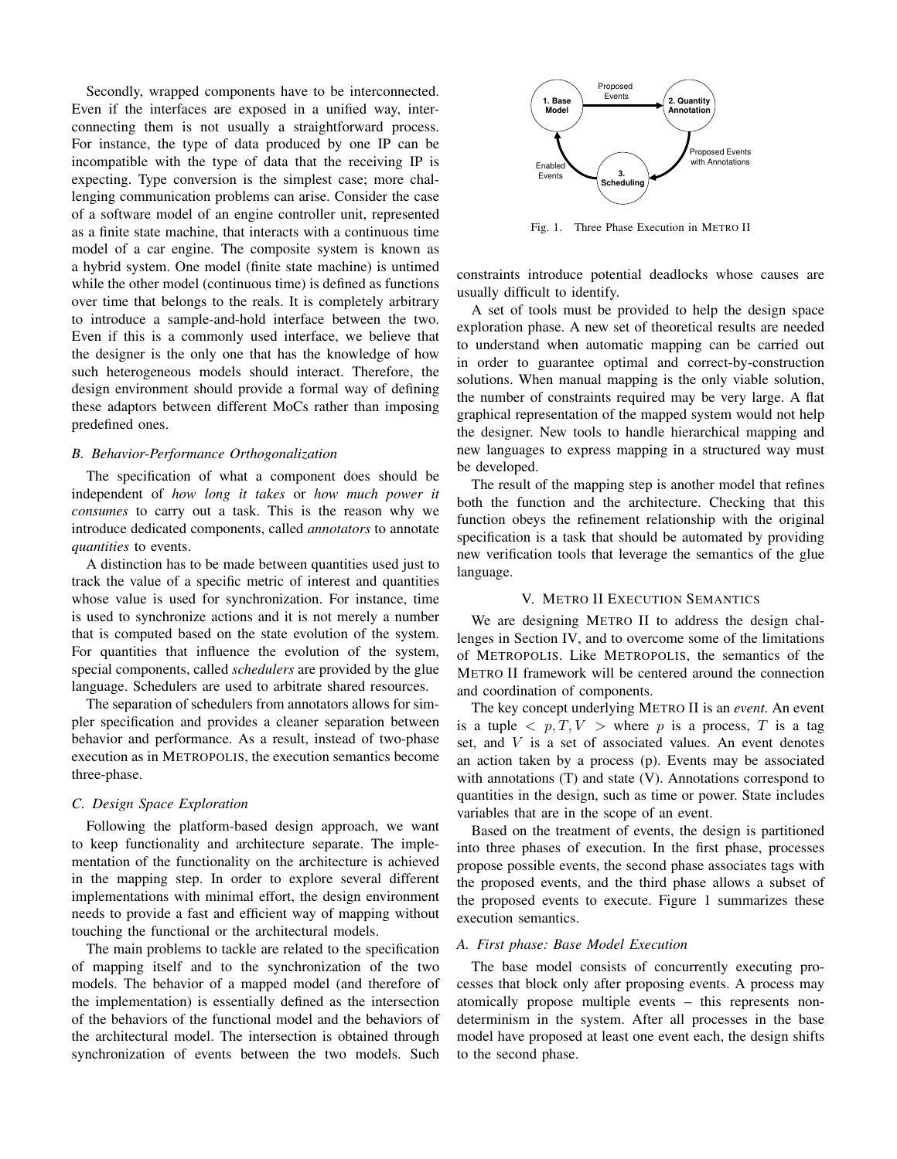Secondly, wrapped components have to be interconnected. Even if the interfaces are exposed in a unified way, interconnecting them is not usually a straightforward process. For instance, the type of data produced by one IP can be incompatible with the type of data that the receiving IP is expecting. Type conversion is the simplest case; more challenging communication problems can arise. Consider the case of a software model of an engine controller unit, represented as a finite state machine, that interacts with a continuous time model of a car engine. The composite system is known as a hybrid system. One model (finite state machine) is untimed while the other model (continuous time) is defined as functions over time that belongs to the reals. It is completely arbitrary to introduce a sample-and-hold interface between the two. Even if this is a commonly used interface, we believe that the designer is the only one that has the knowledge of how such heterogeneous models should interact. Therefore, the design environment should provide a formal way of defining these adaptors between different MoCs rather than imposing predefined ones.

#### *B. Behavior-Performance Orthogonalization*

The specification of what a component does should be independent of *how long it takes* or *how much power it consumes* to carry out a task. This is the reason why we introduce dedicated components, called *annotators* to annotate *quantities* to events.

A distinction has to be made between quantities used just to track the value of a specific metric of interest and quantities whose value is used for synchronization. For instance, time is used to synchronize actions and it is not merely a number that is computed based on the state evolution of the system. For quantities that influence the evolution of the system, special components, called *schedulers* are provided by the glue language. Schedulers are used to arbitrate shared resources.

The separation of schedulers from annotators allows for simpler specification and provides a cleaner separation between behavior and performance. As a result, instead of two-phase execution as in METROPOLIS, the execution semantics become three-phase.

#### *C. Design Space Exploration*

Following the platform-based design approach, we want to keep functionality and architecture separate. The implementation of the functionality on the architecture is achieved in the mapping step. In order to explore several different implementations with minimal effort, the design environment needs to provide a fast and efficient way of mapping without touching the functional or the architectural models.

The main problems to tackle are related to the specification of mapping itself and to the synchronization of the two models. The behavior of a mapped model (and therefore of the implementation) is essentially defined as the intersection of the behaviors of the functional model and the behaviors of the architectural model. The intersection is obtained through synchronization of events between the two models. Such



Fig. 1. Three Phase Execution in METRO II

constraints introduce potential deadlocks whose causes are usually difficult to identify.

A set of tools must be provided to help the design space exploration phase. A new set of theoretical results are needed to understand when automatic mapping can be carried out in order to guarantee optimal and correct-by-construction solutions. When manual mapping is the only viable solution, the number of constraints required may be very large. A flat graphical representation of the mapped system would not help the designer. New tools to handle hierarchical mapping and new languages to express mapping in a structured way must be developed.

The result of the mapping step is another model that refines both the function and the architecture. Checking that this function obeys the refinement relationship with the original specification is a task that should be automated by providing new verification tools that leverage the semantics of the glue language.

## V. METRO II EXECUTION SEMANTICS

We are designing METRO II to address the design challenges in Section IV, and to overcome some of the limitations of METROPOLIS. Like METROPOLIS, the semantics of the METRO II framework will be centered around the connection and coordination of components.

The key concept underlying METRO II is an *event*. An event is a tuple  $\langle p, T, V \rangle$  where p is a process, T is a tag set, and V is a set of associated values. An event denotes an action taken by a process (p). Events may be associated with annotations (T) and state (V). Annotations correspond to quantities in the design, such as time or power. State includes variables that are in the scope of an event.

Based on the treatment of events, the design is partitioned into three phases of execution. In the first phase, processes propose possible events, the second phase associates tags with the proposed events, and the third phase allows a subset of the proposed events to execute. Figure 1 summarizes these execution semantics.

## *A. First phase: Base Model Execution*

The base model consists of concurrently executing processes that block only after proposing events. A process may atomically propose multiple events – this represents nondeterminism in the system. After all processes in the base model have proposed at least one event each, the design shifts to the second phase.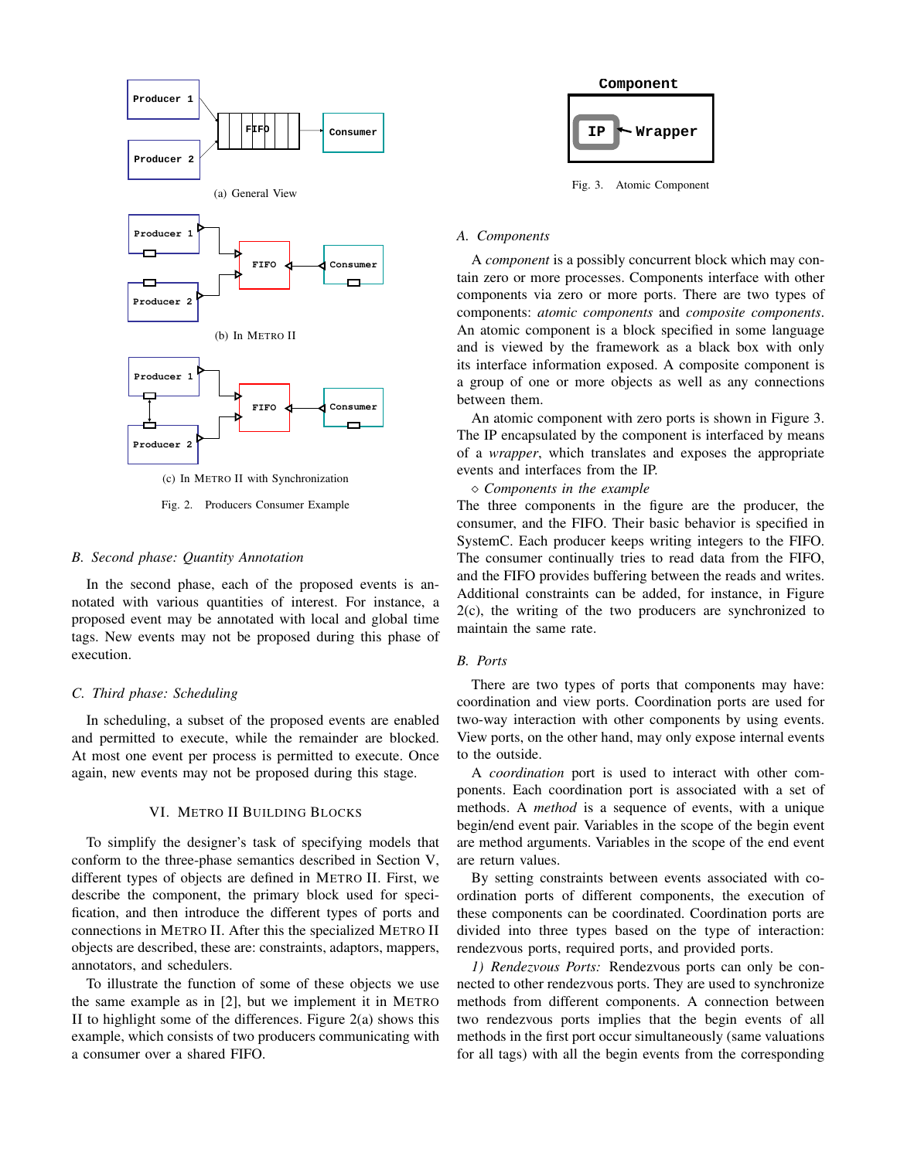

Fig. 2. Producers Consumer Example

#### *B. Second phase: Quantity Annotation*

In the second phase, each of the proposed events is annotated with various quantities of interest. For instance, a proposed event may be annotated with local and global time tags. New events may not be proposed during this phase of execution.

#### *C. Third phase: Scheduling*

In scheduling, a subset of the proposed events are enabled and permitted to execute, while the remainder are blocked. At most one event per process is permitted to execute. Once again, new events may not be proposed during this stage.

## VI. METRO II BUILDING BLOCKS

To simplify the designer's task of specifying models that conform to the three-phase semantics described in Section V, different types of objects are defined in METRO II. First, we describe the component, the primary block used for specification, and then introduce the different types of ports and connections in METRO II. After this the specialized METRO II objects are described, these are: constraints, adaptors, mappers, annotators, and schedulers.

To illustrate the function of some of these objects we use the same example as in [2], but we implement it in METRO II to highlight some of the differences. Figure 2(a) shows this example, which consists of two producers communicating with a consumer over a shared FIFO.



Fig. 3. Atomic Component

#### *A. Components*

A *component* is a possibly concurrent block which may contain zero or more processes. Components interface with other components via zero or more ports. There are two types of components: *atomic components* and *composite components*. An atomic component is a block specified in some language and is viewed by the framework as a black box with only its interface information exposed. A composite component is a group of one or more objects as well as any connections between them.

An atomic component with zero ports is shown in Figure 3. The IP encapsulated by the component is interfaced by means of a *wrapper*, which translates and exposes the appropriate events and interfaces from the IP.

*Components in the example*

The three components in the figure are the producer, the consumer, and the FIFO. Their basic behavior is specified in SystemC. Each producer keeps writing integers to the FIFO. The consumer continually tries to read data from the FIFO, and the FIFO provides buffering between the reads and writes. Additional constraints can be added, for instance, in Figure 2(c), the writing of the two producers are synchronized to maintain the same rate.

# *B. Ports*

There are two types of ports that components may have: coordination and view ports. Coordination ports are used for two-way interaction with other components by using events. View ports, on the other hand, may only expose internal events to the outside.

A *coordination* port is used to interact with other components. Each coordination port is associated with a set of methods. A *method* is a sequence of events, with a unique begin/end event pair. Variables in the scope of the begin event are method arguments. Variables in the scope of the end event are return values.

By setting constraints between events associated with coordination ports of different components, the execution of these components can be coordinated. Coordination ports are divided into three types based on the type of interaction: rendezvous ports, required ports, and provided ports.

*1) Rendezvous Ports:* Rendezvous ports can only be connected to other rendezvous ports. They are used to synchronize methods from different components. A connection between two rendezvous ports implies that the begin events of all methods in the first port occur simultaneously (same valuations for all tags) with all the begin events from the corresponding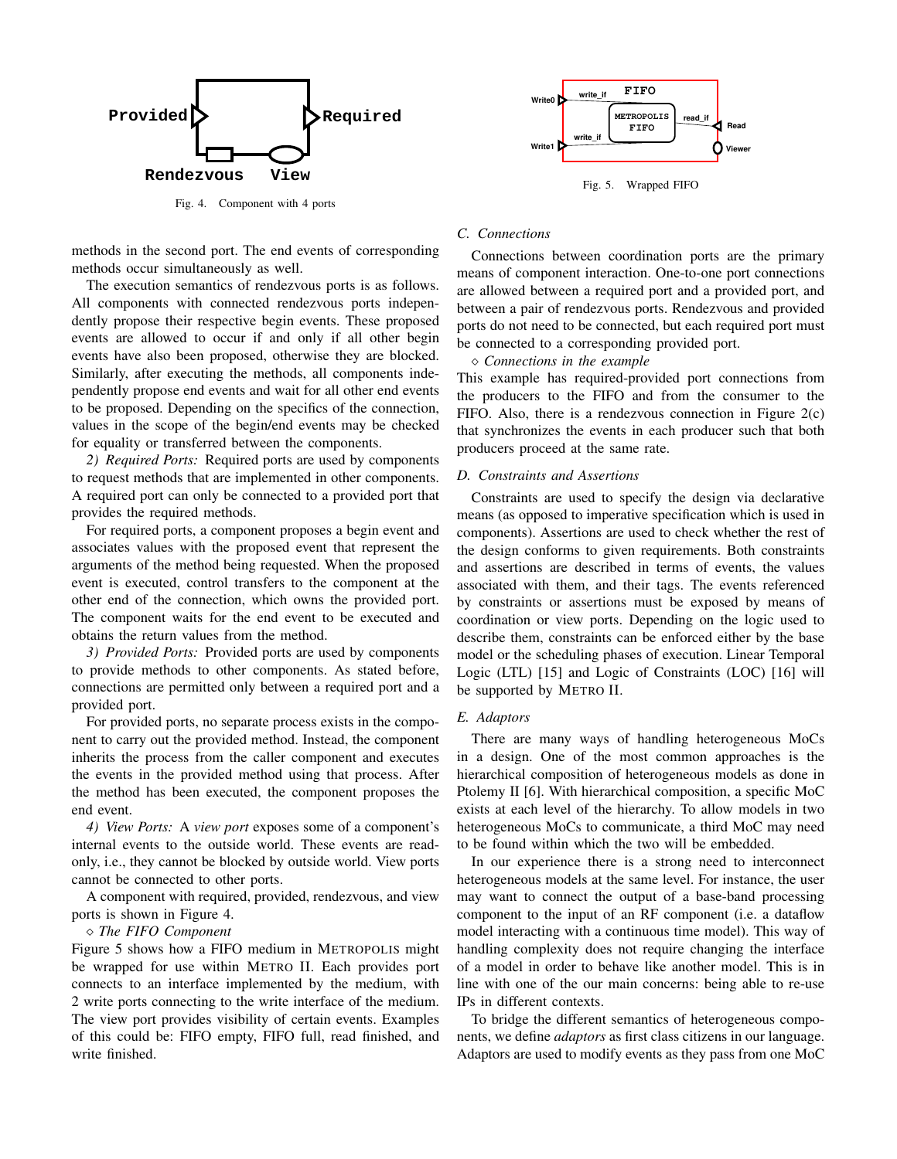

Fig. 4. Component with 4 ports

methods in the second port. The end events of corresponding methods occur simultaneously as well.

The execution semantics of rendezvous ports is as follows. All components with connected rendezvous ports independently propose their respective begin events. These proposed events are allowed to occur if and only if all other begin events have also been proposed, otherwise they are blocked. Similarly, after executing the methods, all components independently propose end events and wait for all other end events to be proposed. Depending on the specifics of the connection, values in the scope of the begin/end events may be checked for equality or transferred between the components.

*2) Required Ports:* Required ports are used by components to request methods that are implemented in other components. A required port can only be connected to a provided port that provides the required methods.

For required ports, a component proposes a begin event and associates values with the proposed event that represent the arguments of the method being requested. When the proposed event is executed, control transfers to the component at the other end of the connection, which owns the provided port. The component waits for the end event to be executed and obtains the return values from the method.

*3) Provided Ports:* Provided ports are used by components to provide methods to other components. As stated before, connections are permitted only between a required port and a provided port.

For provided ports, no separate process exists in the component to carry out the provided method. Instead, the component inherits the process from the caller component and executes the events in the provided method using that process. After the method has been executed, the component proposes the end event.

*4) View Ports:* A *view port* exposes some of a component's internal events to the outside world. These events are readonly, i.e., they cannot be blocked by outside world. View ports cannot be connected to other ports.

A component with required, provided, rendezvous, and view ports is shown in Figure 4.

#### *The FIFO Component*

Figure 5 shows how a FIFO medium in METROPOLIS might be wrapped for use within METRO II. Each provides port connects to an interface implemented by the medium, with 2 write ports connecting to the write interface of the medium. The view port provides visibility of certain events. Examples of this could be: FIFO empty, FIFO full, read finished, and write finished.



Fig. 5. Wrapped FIFO

## *C. Connections*

Connections between coordination ports are the primary means of component interaction. One-to-one port connections are allowed between a required port and a provided port, and between a pair of rendezvous ports. Rendezvous and provided ports do not need to be connected, but each required port must be connected to a corresponding provided port.

*Connections in the example*

This example has required-provided port connections from the producers to the FIFO and from the consumer to the FIFO. Also, there is a rendezvous connection in Figure 2(c) that synchronizes the events in each producer such that both producers proceed at the same rate.

#### *D. Constraints and Assertions*

Constraints are used to specify the design via declarative means (as opposed to imperative specification which is used in components). Assertions are used to check whether the rest of the design conforms to given requirements. Both constraints and assertions are described in terms of events, the values associated with them, and their tags. The events referenced by constraints or assertions must be exposed by means of coordination or view ports. Depending on the logic used to describe them, constraints can be enforced either by the base model or the scheduling phases of execution. Linear Temporal Logic (LTL) [15] and Logic of Constraints (LOC) [16] will be supported by METRO II.

#### *E. Adaptors*

There are many ways of handling heterogeneous MoCs in a design. One of the most common approaches is the hierarchical composition of heterogeneous models as done in Ptolemy II [6]. With hierarchical composition, a specific MoC exists at each level of the hierarchy. To allow models in two heterogeneous MoCs to communicate, a third MoC may need to be found within which the two will be embedded.

In our experience there is a strong need to interconnect heterogeneous models at the same level. For instance, the user may want to connect the output of a base-band processing component to the input of an RF component (i.e. a dataflow model interacting with a continuous time model). This way of handling complexity does not require changing the interface of a model in order to behave like another model. This is in line with one of the our main concerns: being able to re-use IPs in different contexts.

To bridge the different semantics of heterogeneous components, we define *adaptors* as first class citizens in our language. Adaptors are used to modify events as they pass from one MoC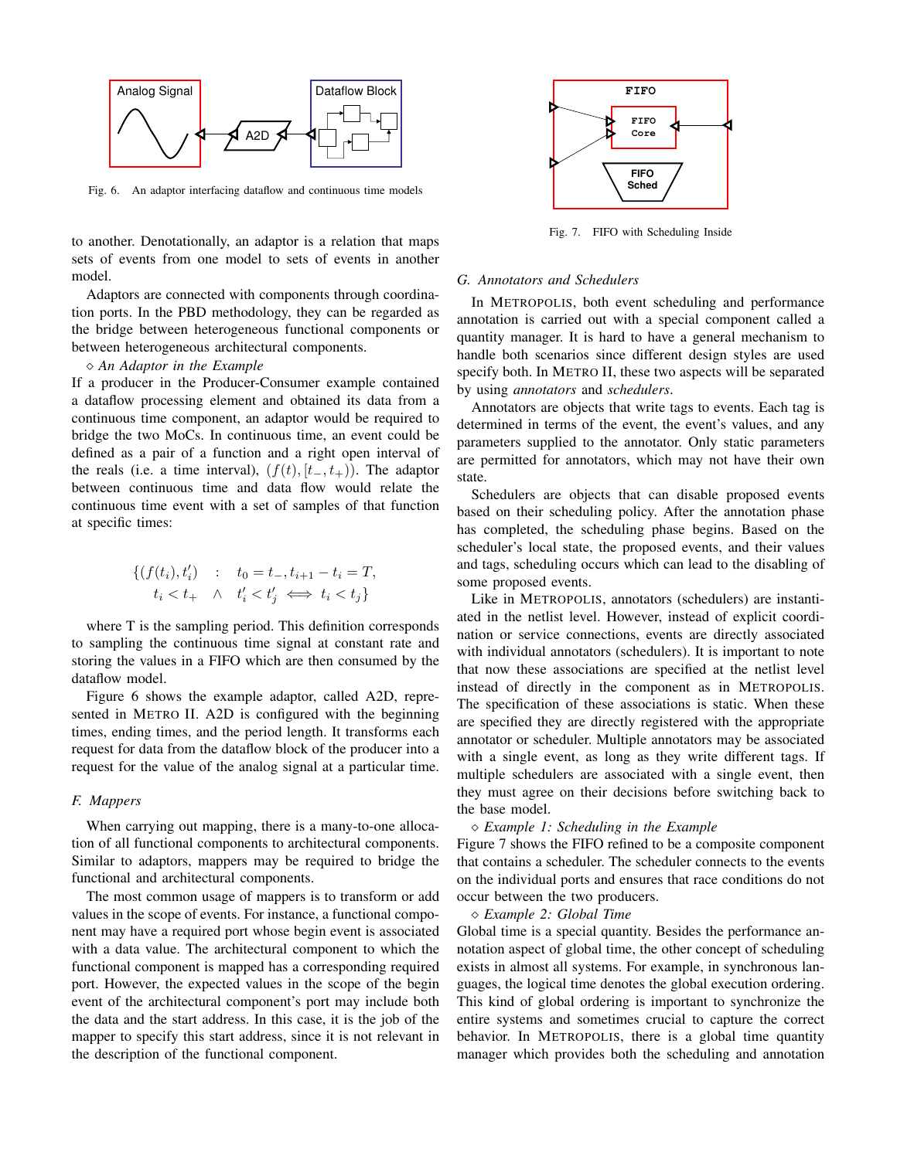

Fig. 6. An adaptor interfacing dataflow and continuous time models

to another. Denotationally, an adaptor is a relation that maps sets of events from one model to sets of events in another model.

Adaptors are connected with components through coordination ports. In the PBD methodology, they can be regarded as the bridge between heterogeneous functional components or between heterogeneous architectural components.

#### *An Adaptor in the Example*

If a producer in the Producer-Consumer example contained a dataflow processing element and obtained its data from a continuous time component, an adaptor would be required to bridge the two MoCs. In continuous time, an event could be defined as a pair of a function and a right open interval of the reals (i.e. a time interval),  $(f(t), [t_-, t_+))$ . The adaptor between continuous time and data flow would relate the continuous time event with a set of samples of that function at specific times:

$$
\begin{aligned} \{(f(t_i), t'_i) & \quad : \quad t_0 = t_-, t_{i+1} - t_i = T, \\ t_i & < t_+ \quad \land \quad t'_i < t'_j \iff t_i < t_j \} \end{aligned}
$$

where T is the sampling period. This definition corresponds to sampling the continuous time signal at constant rate and storing the values in a FIFO which are then consumed by the dataflow model.

Figure 6 shows the example adaptor, called A2D, represented in METRO II. A2D is configured with the beginning times, ending times, and the period length. It transforms each request for data from the dataflow block of the producer into a request for the value of the analog signal at a particular time.

#### *F. Mappers*

When carrying out mapping, there is a many-to-one allocation of all functional components to architectural components. Similar to adaptors, mappers may be required to bridge the functional and architectural components.

The most common usage of mappers is to transform or add values in the scope of events. For instance, a functional component may have a required port whose begin event is associated with a data value. The architectural component to which the functional component is mapped has a corresponding required port. However, the expected values in the scope of the begin event of the architectural component's port may include both the data and the start address. In this case, it is the job of the mapper to specify this start address, since it is not relevant in the description of the functional component.



Fig. 7. FIFO with Scheduling Inside

#### *G. Annotators and Schedulers*

In METROPOLIS, both event scheduling and performance annotation is carried out with a special component called a quantity manager. It is hard to have a general mechanism to handle both scenarios since different design styles are used specify both. In METRO II, these two aspects will be separated by using *annotators* and *schedulers*.

Annotators are objects that write tags to events. Each tag is determined in terms of the event, the event's values, and any parameters supplied to the annotator. Only static parameters are permitted for annotators, which may not have their own state.

Schedulers are objects that can disable proposed events based on their scheduling policy. After the annotation phase has completed, the scheduling phase begins. Based on the scheduler's local state, the proposed events, and their values and tags, scheduling occurs which can lead to the disabling of some proposed events.

Like in METROPOLIS, annotators (schedulers) are instantiated in the netlist level. However, instead of explicit coordination or service connections, events are directly associated with individual annotators (schedulers). It is important to note that now these associations are specified at the netlist level instead of directly in the component as in METROPOLIS. The specification of these associations is static. When these are specified they are directly registered with the appropriate annotator or scheduler. Multiple annotators may be associated with a single event, as long as they write different tags. If multiple schedulers are associated with a single event, then they must agree on their decisions before switching back to the base model.

## *Example 1: Scheduling in the Example*

Figure 7 shows the FIFO refined to be a composite component that contains a scheduler. The scheduler connects to the events on the individual ports and ensures that race conditions do not occur between the two producers.

*Example 2: Global Time*

Global time is a special quantity. Besides the performance annotation aspect of global time, the other concept of scheduling exists in almost all systems. For example, in synchronous languages, the logical time denotes the global execution ordering. This kind of global ordering is important to synchronize the entire systems and sometimes crucial to capture the correct behavior. In METROPOLIS, there is a global time quantity manager which provides both the scheduling and annotation